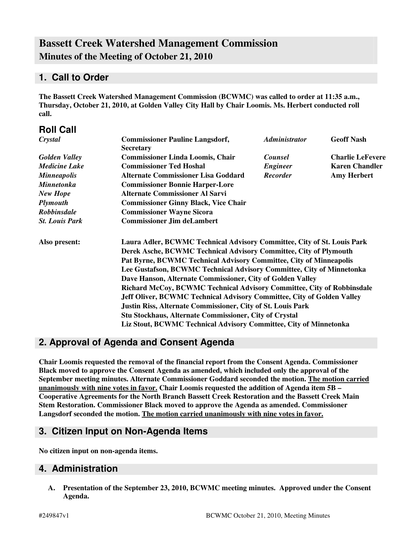# **Bassett Creek Watershed Management Commission Minutes of the Meeting of October 21, 2010**

## **1. Call to Order**

**The Bassett Creek Watershed Management Commission (BCWMC) was called to order at 11:35 a.m., Thursday, October 21, 2010, at Golden Valley City Hall by Chair Loomis. Ms. Herbert conducted roll call.**

| <b>Roll Call</b>      |                                                                               |                      |                         |  |  |
|-----------------------|-------------------------------------------------------------------------------|----------------------|-------------------------|--|--|
| Crystal               | <b>Commissioner Pauline Langsdorf,</b><br><b>Secretary</b>                    | <b>Administrator</b> | <b>Geoff Nash</b>       |  |  |
| <b>Golden Valley</b>  | <b>Commissioner Linda Loomis, Chair</b>                                       | <b>Counsel</b>       | <b>Charlie LeFevere</b> |  |  |
| <b>Medicine Lake</b>  | <b>Commissioner Ted Hoshal</b>                                                | <b>Engineer</b>      | <b>Karen Chandler</b>   |  |  |
| <b>Minneapolis</b>    | <b>Alternate Commissioner Lisa Goddard</b>                                    | <b>Recorder</b>      | <b>Amy Herbert</b>      |  |  |
| <b>Minnetonka</b>     | <b>Commissioner Bonnie Harper-Lore</b>                                        |                      |                         |  |  |
| <b>New Hope</b>       | <b>Alternate Commissioner Al Sarvi</b>                                        |                      |                         |  |  |
| <b>Plymouth</b>       | <b>Commissioner Ginny Black, Vice Chair</b>                                   |                      |                         |  |  |
| <b>Robbinsdale</b>    | <b>Commissioner Wayne Sicora</b>                                              |                      |                         |  |  |
| <b>St. Louis Park</b> | <b>Commissioner Jim deLambert</b>                                             |                      |                         |  |  |
| Also present:         | Laura Adler, BCWMC Technical Advisory Committee, City of St. Louis Park       |                      |                         |  |  |
|                       | Derek Asche, BCWMC Technical Advisory Committee, City of Plymouth             |                      |                         |  |  |
|                       | Pat Byrne, BCWMC Technical Advisory Committee, City of Minneapolis            |                      |                         |  |  |
|                       | Lee Gustafson, BCWMC Technical Advisory Committee, City of Minnetonka         |                      |                         |  |  |
|                       | Dave Hanson, Alternate Commissioner, City of Golden Valley                    |                      |                         |  |  |
|                       | Richard McCoy, BCWMC Technical Advisory Committee, City of Robbinsdale        |                      |                         |  |  |
|                       | <b>Jeff Oliver, BCWMC Technical Advisory Committee, City of Golden Valley</b> |                      |                         |  |  |
|                       | Justin Riss, Alternate Commissioner, City of St. Louis Park                   |                      |                         |  |  |
|                       | <b>Stu Stockhaus, Alternate Commissioner, City of Crystal</b>                 |                      |                         |  |  |
|                       | Liz Stout, BCWMC Technical Advisory Committee, City of Minnetonka             |                      |                         |  |  |

# **2. Approval of Agenda and Consent Agenda**

**Chair Loomis requested the removal of the financial report from the Consent Agenda. Commissioner Black moved to approve the Consent Agenda as amended, which included only the approval of the September meeting minutes. Alternate Commissioner Goddard seconded the motion. The motion carried unanimously with nine votes in favor. Chair Loomis requested the addition of Agenda item 5B – Cooperative Agreements for the North Branch Bassett Creek Restoration and the Bassett Creek Main Stem Restoration. Commissioner Black moved to approve the Agenda as amended. Commissioner Langsdorf seconded the motion. The motion carried unanimously with nine votes in favor.**

# **3. Citizen Input on Non-Agenda Items**

**No citizen input on non-agenda items.**

### **4. Administration**

**A. Presentation of the September 23, 2010, BCWMC meeting minutes. Approved under the Consent Agenda.**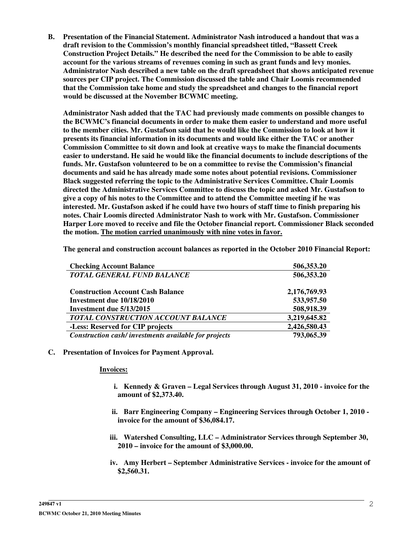**B. Presentation of the Financial Statement. Administrator Nash introduced a handout that was a draft revision to the Commission's monthly financial spreadsheet titled, "Bassett Creek Construction Project Details." He described the need for the Commission to be able to easily account for the various streams of revenues coming in such as grant funds and levy monies. Administrator Nash described a new table on the draft spreadsheet that shows anticipated revenue sources per CIP project. The Commission discussed the table and Chair Loomis recommended that the Commission take home and study the spreadsheet and changes to the financial report would be discussed at the November BCWMC meeting.**

**Administrator Nash added that the TAC had previously made comments on possible changes to the BCWMC's financial documents in order to make them easier to understand and more useful to the member cities. Mr. Gustafson said that he would like the Commission to look at how it presents its financial information in its documents and would like either the TAC or another Commission Committee to sit down and look at creative ways to make the financial documents easier to understand. He said he would like the financial documents to include descriptions of the funds. Mr. Gustafson volunteered to be on a committee to revise the Commission's financial documents and said he has already made some notes about potential revisions. Commissioner Black suggested referring the topic to the Administrative Services Committee. Chair Loomis directed the Administrative Services Committee to discuss the topic and asked Mr. Gustafson to give a copy of his notes to the Committee and to attend the Committee meeting if he was interested. Mr. Gustafson asked if he could have two hours of staff time to finish preparing his notes. Chair Loomis directed Administrator Nash to work with Mr. Gustafson. Commissioner Harper Lore moved to receive and file the October financial report. Commissioner Black seconded the motion. The motion carried unanimously with nine votes in favor.**

**The general and construction account balances as reported in the October 2010 Financial Report:**

| <b>Checking Account Balance</b>                      | 506,353.20   |
|------------------------------------------------------|--------------|
| <b>TOTAL GENERAL FUND BALANCE</b>                    | 506,353.20   |
| <b>Construction Account Cash Balance</b>             | 2,176,769.93 |
| Investment due 10/18/2010                            | 533,957.50   |
| Investment due 5/13/2015                             | 508,918.39   |
| <b>TOTAL CONSTRUCTION ACCOUNT BALANCE</b>            | 3,219,645.82 |
| -Less: Reserved for CIP projects                     | 2,426,580.43 |
| Construction cash/investments available for projects | 793,065.39   |

#### **C. Presentation of Invoices for Payment Approval.**

#### **Invoices:**

- **i. Kennedy & Graven – Legal Services through August 31, 2010 - invoice for the amount of \$2,373.40.**
- **ii. Barr Engineering Company – Engineering Services through October 1, 2010 invoice for the amount of \$36,084.17.**
- **iii. Watershed Consulting, LLC – Administrator Services through September 30, 2010 – invoice for the amount of \$3,000.00.**
- **iv. Amy Herbert – September Administrative Services - invoice for the amount of \$2,560.31.**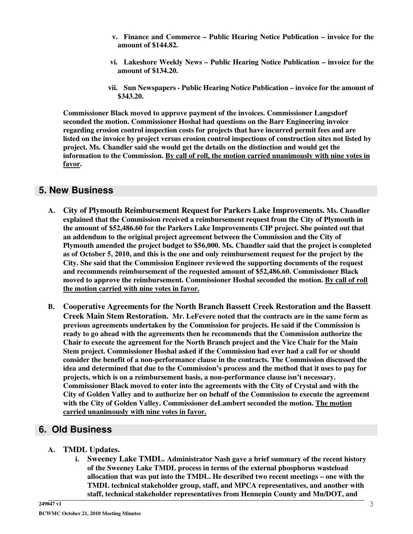- **v. Finance and Commerce – Public Hearing Notice Publication – invoice for the amount of \$144.82.**
- **vi. Lakeshore Weekly News – Public Hearing Notice Publication – invoice for the amount of \$134.20.**
- **vii. Sun Newspapers - Public Hearing Notice Publication – invoice for the amount of \$343.20.**

**Commissioner Black moved to approve payment of the invoices. Commissioner Langsdorf seconded the motion. Commissioner Hoshal had questions on the Barr Engineering invoice regarding erosion control inspection costs for projects that have incurred permit fees and are listed on the invoice by project versus erosion control inspections of construction sites not listed by project. Ms. Chandler said she would get the details on the distinction and would get the information to the Commission. By call of roll, the motion carried unanimously with nine votes in favor.**

### **5. New Business**

- **A. City of Plymouth Reimbursement Request for Parkers Lake Improvements. Ms. Chandler explained that the Commission received a reimbursement request from the City of Plymouth in the amount of \$52,486.60 for the Parkers Lake Improvements CIP project. She pointed out that an addendum to the original project agreement between the Commission and the City of Plymouth amended the project budget to \$56,000. Ms. Chandler said that the project is completed** as of October 5, 2010, and this is the one and only reimbursement request for the project by the **City. She said that the Commission Engineer reviewed the supporting documents of the request and recommends reimbursement of the requested amount of \$52,486.60. Commissioner Black moved to approve the reimbursement. Commissioner Hoshal seconded the motion. By call of roll the motion carried with nine votes in favor.**
- **B. Cooperative Agreements for the North Branch Bassett Creek Restoration and the Bassett Creek Main Stem Restoration. Mr. LeFevere noted that the contracts are in the same form as previous agreements undertaken by the Commission for projects. He said if the Commission is ready to go ahead with the agreements then he recommends that the Commission authorize the Chair to execute the agreement for the North Branch project and the Vice Chair for the Main Stem project. Commissioner Hoshal asked if the Commission had ever had a call for or should consider the benefit of a non-performance clause in the contracts. The Commission discussed the idea and determined that due to the Commission's process and the method that it uses to pay for projects, which is on a reimbursement basis, a non-performance clause isn't necessary. Commissioner Black moved to enter into the agreements with the City of Crystal and with the City of Golden Valley and to authorize her on behalf of the Commission to execute the agreement with the City of Golden Valley. Commissioner deLambert seconded the motion. The motion carried unanimously with nine votes in favor.**

### **6. Old Business**

- **A. TMDL Updates.**
	- **i. Sweeney Lake TMDL. Administrator Nash gave a brief summary of the recent history of the Sweeney Lake TMDL process in terms of the external phosphorus wasteload allocation that was put into the TMDL. He described two recent meetings – one with the TMDL technical stakeholder group, staff, and MPCA representatives, and another with staff, technical stakeholder representatives from Hennepin County and Mn/DOT, and**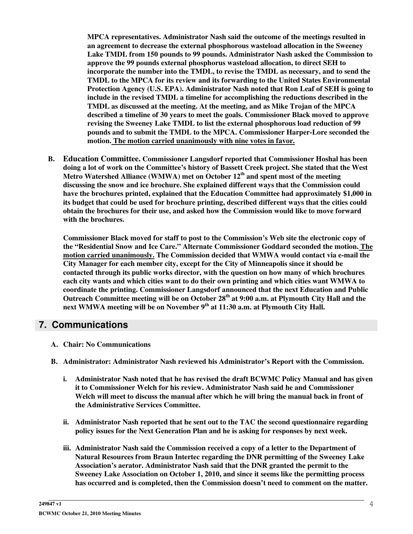**MPCA representatives. Administrator Nash said the outcome of the meetings resulted in an agreement to decrease the external phosphorous wasteload allocation in the Sweeney Lake TMDL from 150 pounds to 99 pounds. Administrator Nash asked the Commission to approve the 99 pounds external phosphorus wasteload allocation, to direct SEH to incorporate the number into the TMDL, to revise the TMDL as necessary, and to send the TMDL to the MPCA for its review and its forwarding to the United States Environmental Protection Agency (U.S. EPA). Administrator Nash noted that Ron Leaf of SEH is going to include in the revised TMDL a timeline for accomplishing the reductions described in the TMDL as discussed at the meeting. At the meeting, and as Mike Trojan of the MPCA described a timeline of 30 years to meet the goals. Commissioner Black moved to approve revising the Sweeney Lake TMDL to list the external phosphorous load reduction of 99 pounds and to submit the TMDL to the MPCA. Commissioner Harper-Lore seconded the motion. The motion carried unanimously with nine votes in favor.**

**B. Education Committee. Commissioner Langsdorf reported that Commissioner Hoshal has been doing a lot of work on the Committee's history of Bassett Creek project. She stated that the West Metro Watershed Alliance (WMWA) met on October 12 th and spent most of the meeting discussing the snow and ice brochure. She explained different ways that the Commission could have the brochures printed, explained that the Education Committee had approximately \$1,000 in its budget that could be used for brochure printing, described different ways that the cities could obtain the brochures for their use, and asked how the Commission would like to move forward with the brochures.**

**Commissioner Black moved for staff to post to the Commission's Web site the electronic copy of the "Residential Snow and Ice Care." Alternate Commissioner Goddard seconded the motion. The motion carried unanimously. The Commission decided that WMWA would contact via e-mail the City Manager for each member city, except for the City of Minneapolis since it should be contacted through its public works director, with the question on how many of which brochures each city wants and which cities want to do their own printing and which cities want WMWA to coordinate the printing. Commissioner Langsdorf announced that the next Education and Public Outreach Committee meeting will be on October 28 th at 9:00 a.m. at Plymouth City Hall and the next WMWA meeting will be on November 9 th at 11:30 a.m. at Plymouth City Hall.**

### **7. Communications**

- **A. Chair: No Communications**
- **B. Administrator: Administrator Nash reviewed his Administrator's Report with the Commission.**
	- **i. Administrator Nash noted that he has revised the draft BCWMC Policy Manual and has given it to Commissioner Welch for his review. Administrator Nash said he and Commissioner Welch will meet to discuss the manual after which he will bring the manual back in front of the Administrative Services Committee.**
	- **ii. Administrator Nash reported that he sent out to the TAC the second questionnaire regarding policy issues for the Next Generation Plan and he is asking for responses by next week.**
	- **iii. Administrator Nash said the Commission received a copy of a letter to the Department of Natural Resources from Braun Intertec regarding the DNR permitting of the Sweeney Lake Association's aerator. Administrator Nash said that the DNR granted the permit to the Sweeney Lake Association on October 1, 2010, and since it seems like the permitting process has occurred and is completed, then the Commission doesn't need to comment on the matter.**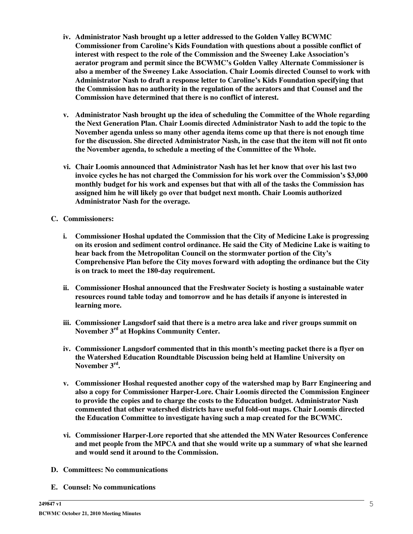- **iv. Administrator Nash brought up a letter addressed to the Golden Valley BCWMC Commissioner from Caroline's Kids Foundation with questions about a possible conflict of interest with respect to the role of the Commission and the Sweeney Lake Association's aerator program and permit since the BCWMC's Golden Valley Alternate Commissioner is also a member of the Sweeney Lake Association. Chair Loomis directed Counsel to work with Administrator Nash to draft a response letter to Caroline's Kids Foundation specifying that the Commission has no authority in the regulation of the aerators and that Counsel and the Commission have determined that there is no conflict of interest.**
- **v. Administrator Nash brought up the idea of scheduling the Committee of the Whole regarding the Next Generation Plan. Chair Loomis directed Administrator Nash to add the topic to the November agenda unless so many other agenda items come up that there is not enough time for the discussion. She directed Administrator Nash, in the case that the item will not fit onto the November agenda, to schedule a meeting of the Committee of the Whole.**
- **vi. Chair Loomis announced that Administrator Nash has let her know that over his last two invoice cycles he has not charged the Commission for his work over the Commission's \$3,000 monthly budget for his work and expenses but that with all of the tasks the Commission has assigned him he will likely go over that budget next month. Chair Loomis authorized Administrator Nash for the overage.**
- **C. Commissioners:**
	- **i. Commissioner Hoshal updated the Commission that the City of Medicine Lake is progressing on its erosion and sediment control ordinance. He said the City of Medicine Lake is waiting to hear back from the Metropolitan Council on the stormwater portion of the City's Comprehensive Plan before the City moves forward with adopting the ordinance but the City is on track to meet the 180-day requirement.**
	- **ii. Commissioner Hoshal announced that the Freshwater Society is hosting a sustainable water resources round table today and tomorrow and he has details if anyone is interested in learning more.**
	- **iii. Commissioner Langsdorf said that there is a metro area lake and river groups summit on November 3 rd at Hopkins Community Center.**
	- **iv. Commissioner Langsdorf commented that in this month's meeting packet there is a flyer on the Watershed Education Roundtable Discussion being held at Hamline University on November 3 rd .**
	- **v. Commissioner Hoshal requested another copy of the watershed map by Barr Engineering and also a copy for Commissioner Harper-Lore. Chair Loomis directed the Commission Engineer to provide the copies and to charge the costs to the Education budget. Administrator Nash commented that other watershed districts have useful fold-out maps. Chair Loomis directed the Education Committee to investigate having such a map created for the BCWMC.**
	- **vi. Commissioner Harper-Lore reported that she attended the MN Water Resources Conference and met people from the MPCA and that she would write up a summary of what she learned and would send it around to the Commission.**
- **D. Committees: No communications**
- **E. Counsel: No communications**